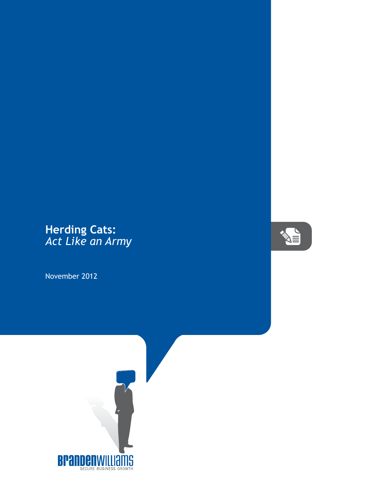## **Herding Cats:** *Act Like an Army*

November 2012



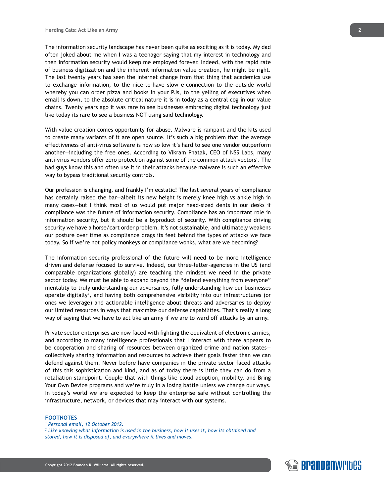The information security landscape has never been quite as exciting as it is today. My dad often joked about me when I was a teenager saying that my interest in technology and then information security would keep me employed forever. Indeed, with the rapid rate of business digitization and the inherent information value creation, he might be right. The last twenty years has seen the Internet change from that thing that academics use to exchange information, to the nice-to-have slow e-connection to the outside world whereby you can order pizza and books in your PJs, to the yelling of executives when email is down, to the absolute critical nature it is in today as a central cog in our value chains. Twenty years ago it was rare to see businesses embracing digital technology just like today its rare to see a business NOT using said technology.

With value creation comes opportunity for abuse. Malware is rampant and the kits used to create many variants of it are open source. It's such a big problem that the average effectiveness of anti-virus software is now so low it's hard to see one vendor outperform another—including the free ones. According to Vikram Phatak, CEO of NSS Labs, many anti-virus vendors offer zero protection against some of the common attack vectors<sup>1</sup>. The bad guys know this and often use it in their attacks because malware is such an effective way to bypass traditional security controls.

Our profession is changing, and frankly I'm ecstatic! The last several years of compliance has certainly raised the bar—albeit its new height is merely knee high vs ankle high in many cases—but I think most of us would put major head-sized dents in our desks if compliance was the future of information security. Compliance has an important role in information security, but it should be a byproduct of security. With compliance driving security we have a horse/cart order problem. It's not sustainable, and ultimately weakens our posture over time as compliance drags its feet behind the types of attacks we face today. So if we're not policy monkeys or compliance wonks, what are we becoming?

The information security professional of the future will need to be more intelligence driven and defense focused to survive. Indeed, our three-letter-agencies in the US (and comparable organizations globally) are teaching the mindset we need in the private sector today. We must be able to expand beyond the "defend everything from everyone" mentality to truly understanding our adversaries, fully understanding how our businesses operate digitally<sup>2</sup>, and having both comprehensive visibility into our infrastructures (or ones we leverage) and actionable intelligence about threats and adversaries to deploy our limited resources in ways that maximize our defense capabilities. That's really a long way of saying that we have to act like an army if we are to ward off attacks by an army.

Private sector enterprises are now faced with fighting the equivalent of electronic armies, and according to many intelligence professionals that I interact with there appears to be cooperation and sharing of resources between organized crime and nation states collectively sharing information and resources to achieve their goals faster than we can defend against them. Never before have companies in the private sector faced attacks of this this sophistication and kind, and as of today there is little they can do from a retaliation standpoint. Couple that with things like cloud adoption, mobility, and Bring Your Own Device programs and we're truly in a losing battle unless we change our ways. In today's world we are expected to keep the enterprise safe without controlling the infrastructure, network, or devices that may interact with our systems.

## **FOOTNOTES**

*1 Personal email, 12 October 2012.*

*2 Like knowing what information is used in the business, how it uses it, how its obtained and stored, how it is disposed of, and everywhere it lives and moves.*

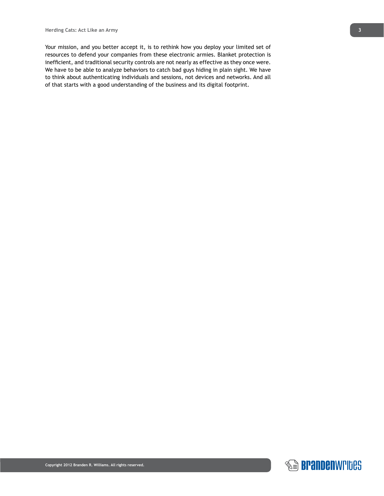Your mission, and you better accept it, is to rethink how you deploy your limited set of resources to defend your companies from these electronic armies. Blanket protection is inefficient, and traditional security controls are not nearly as effective as they once were. We have to be able to analyze behaviors to catch bad guys hiding in plain sight. We have to think about authenticating individuals and sessions, not devices and networks. And all of that starts with a good understanding of the business and its digital footprint.